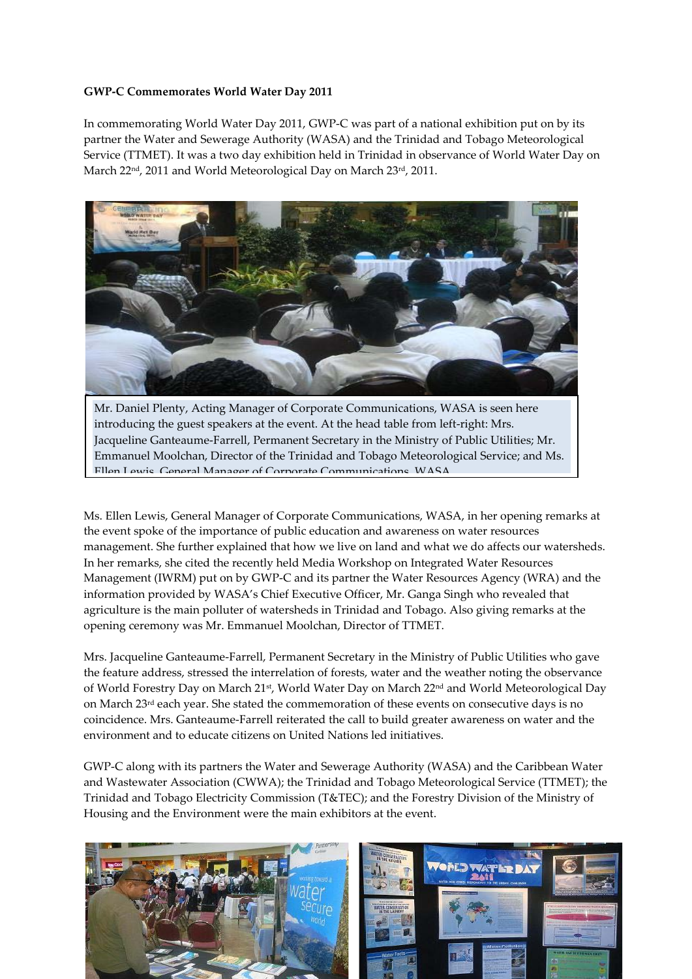### **GWP-C Commemorates World Water Day 2011**

In commemorating World Water Day 2011, GWP-C was part of a national exhibition put on by its partner the Water and Sewerage Authority (WASA) and the Trinidad and Tobago Meteorological Service (TTMET). It was a two day exhibition held in Trinidad in observance of World Water Day on March 22<sup>nd</sup>, 2011 and World Meteorological Day on March 23<sup>rd</sup>, 2011.



Mr. Daniel Plenty, Acting Manager of Corporate Communications, WASA is seen here introducing the guest speakers at the event. At the head table from left-right: Mrs. Jacqueline Ganteaume-Farrell, Permanent Secretary in the Ministry of Public Utilities; Mr. Emmanuel Moolchan, Director of the Trinidad and Tobago Meteorological Service; and Ms. Ellen Lewis General Manager of Corporate Communications WASA

Ms. Ellen Lewis, General Manager of Corporate Communications, WASA, in her opening remarks at the event spoke of the importance of public education and awareness on water resources management. She further explained that how we live on land and what we do affects our watersheds. In her remarks, she cited the recently held Media Workshop on Integrated Water Resources Management (IWRM) put on by GWP-C and its partner the Water Resources Agency (WRA) and the information provided by WASA's Chief Executive Officer, Mr. Ganga Singh who revealed that agriculture is the main polluter of watersheds in Trinidad and Tobago. Also giving remarks at the opening ceremony was Mr. Emmanuel Moolchan, Director of TTMET.

Mrs. Jacqueline Ganteaume-Farrell, Permanent Secretary in the Ministry of Public Utilities who gave the feature address, stressed the interrelation of forests, water and the weather noting the observance of World Forestry Day on March 21st, World Water Day on March 22nd and World Meteorological Day on March  $23^{rd}$  each year. She stated the commemoration of these events on consecutive days is no coincidence. Mrs. Ganteaume-Farrell reiterated the call to build greater awareness on water and the environment and to educate citizens on United Nations led initiatives.

GWP-C along with its partners the Water and Sewerage Authority (WASA) and the Caribbean Water and Wastewater Association (CWWA); the Trinidad and Tobago Meteorological Service (TTMET); the Trinidad and Tobago Electricity Commission (T&TEC); and the Forestry Division of the Ministry of Housing and the Environment were the main exhibitors at the event.

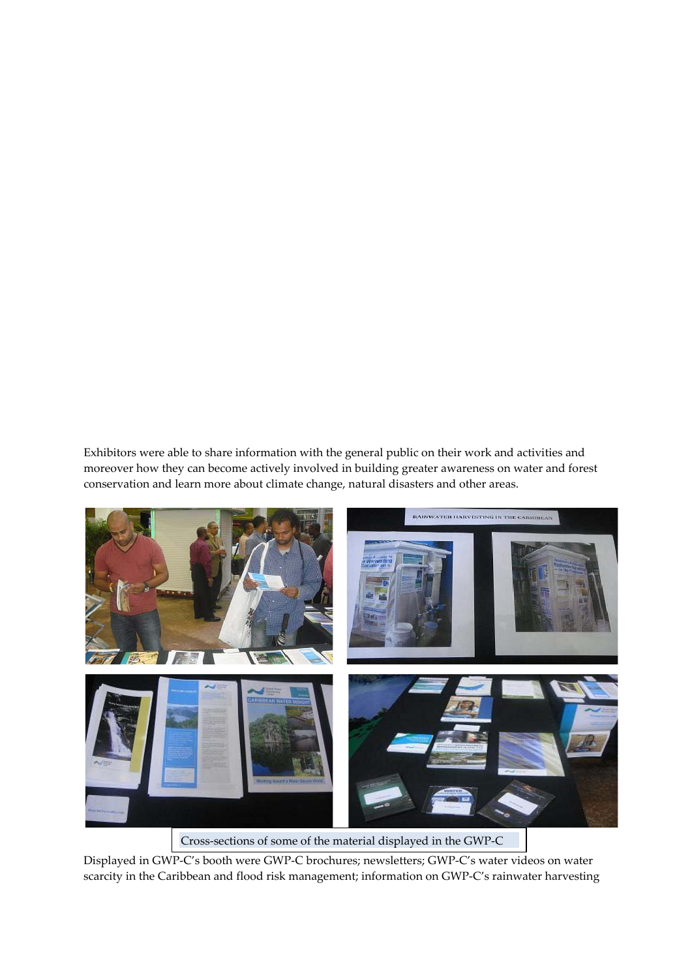Exhibitors were able to share information with the general public on their work and activities and moreover how they can become actively involved in building greater awareness on water and forest conservation and learn more about climate change, natural disasters and other areas.



Cross-sections of some of the material displayed in the GWP-C

Displayed in GWP-C's booth were GWP-C brochures; newsletters; GWP-C's water videos on water scarcity in the Caribbean and flood risk management; information on GWP-C's rainwater harvesting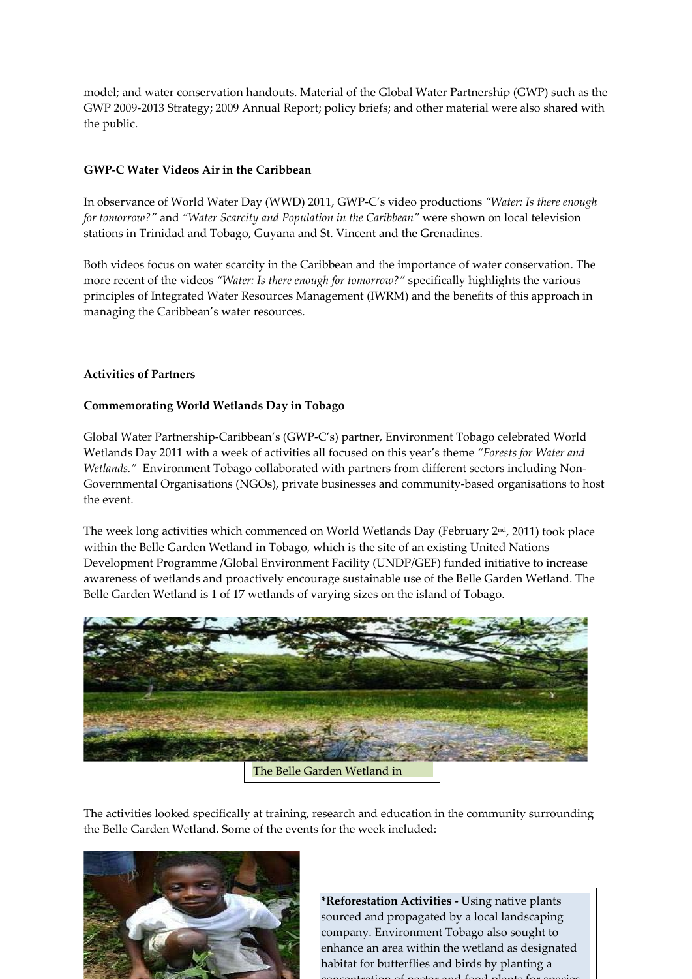model; and water conservation handouts. Material of the Global Water Partnership (GWP) such as the GWP 2009-2013 Strategy; 2009 Annual Report; policy briefs; and other material were also shared with the public.

# **GWP-C Water Videos Air in the Caribbean**

In observance of World Water Day (WWD) 2011, GWP-C's video productions *"Water: Is there enough for tomorrow?"* and *"Water Scarcity and Population in the Caribbean"* were shown on local television stations in Trinidad and Tobago, Guyana and St. Vincent and the Grenadines.

Both videos focus on water scarcity in the Caribbean and the importance of water conservation. The more recent of the videos *"Water: Is there enough for tomorrow?"* specifically highlights the various principles of Integrated Water Resources Management (IWRM) and the benefits of this approach in managing the Caribbean's water resources.

## **Activities of Partners**

## **Commemorating World Wetlands Day in Tobago**

Global Water Partnership-Caribbean's (GWP-C's) partner, Environment Tobago celebrated World Wetlands Day 2011 with a week of activities all focused on this year's theme *"Forests for Water and Wetlands."* Environment Tobago collaborated with partners from different sectors including Non-Governmental Organisations (NGOs), private businesses and community-based organisations to host the event.

The week long activities which commenced on World Wetlands Day (February  $2<sup>nd</sup>$ , 2011) took place within the Belle Garden Wetland in Tobago, which is the site of an existing United Nations Development Programme /Global Environment Facility (UNDP/GEF) funded initiative to increase awareness of wetlands and proactively encourage sustainable use of the Belle Garden Wetland. The Belle Garden Wetland is 1 of 17 wetlands of varying sizes on the island of Tobago.



The Belle Garden Wetland in

The activities looked specifically at training, research and education in the community surrounding the Belle Garden Wetland. Some of the events for the week included:



**\*Reforestation Activities -** Using native plants sourced and propagated by a local landscaping company. Environment Tobago also sought to enhance an area within the wetland as designated habitat for butterflies and birds by planting a concentration of nectar and food plants for species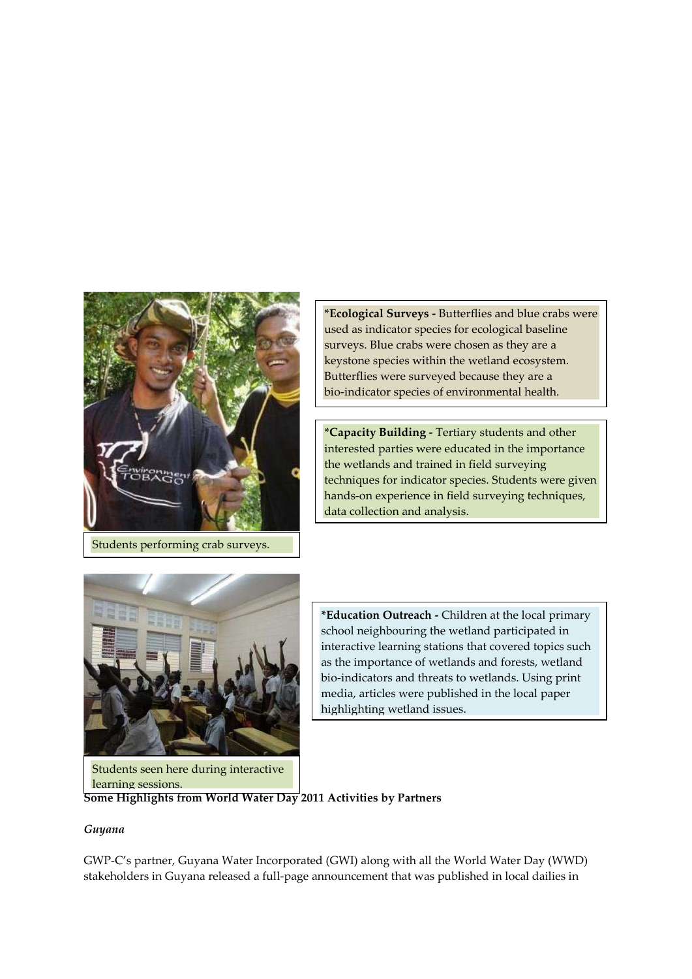

Students performing crab surveys.

**\*Ecological Surveys -** Butterflies and blue crabs were used as indicator species for ecological baseline surveys. Blue crabs were chosen as they are a keystone species within the wetland ecosystem. Butterflies were surveyed because they are a bio-indicator species of environmental health.

**\*Capacity Building -** Tertiary students and other interested parties were educated in the importance the wetlands and trained in field surveying techniques for indicator species. Students were given hands-on experience in field surveying techniques, data collection and analysis.



**\*Education Outreach -** Children at the local primary school neighbouring the wetland participated in interactive learning stations that covered topics such as the importance of wetlands and forests, wetland bio-indicators and threats to wetlands. Using print media, articles were published in the local paper highlighting wetland issues.

**Some Highlights from World Water Day 2011 Activities by Partners**

#### *Guyana*

GWP-C's partner, Guyana Water Incorporated (GWI) along with all the World Water Day (WWD) stakeholders in Guyana released a full-page announcement that was published in local dailies in